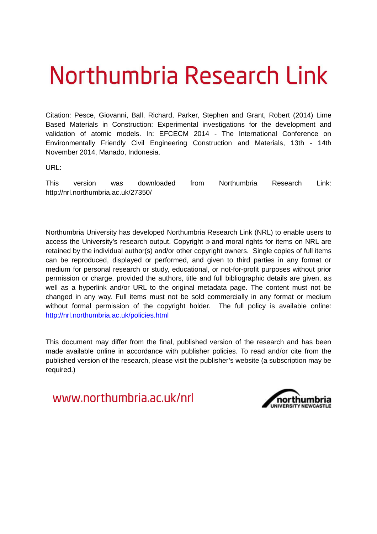# Northumbria Research Link

Citation: Pesce, Giovanni, Ball, Richard, Parker, Stephen and Grant, Robert (2014) Lime Based Materials in Construction: Experimental investigations for the development and validation of atomic models. In: EFCECM 2014 - The International Conference on Environmentally Friendly Civil Engineering Construction and Materials, 13th - 14th November 2014, Manado, Indonesia.

URL:

This version was downloaded from Northumbria Research Link: http://nrl.northumbria.ac.uk/27350/

Northumbria University has developed Northumbria Research Link (NRL) to enable users to access the University's research output. Copyright  $\circ$  and moral rights for items on NRL are retained by the individual author(s) and/or other copyright owners. Single copies of full items can be reproduced, displayed or performed, and given to third parties in any format or medium for personal research or study, educational, or not-for-profit purposes without prior permission or charge, provided the authors, title and full bibliographic details are given, as well as a hyperlink and/or URL to the original metadata page. The content must not be changed in any way. Full items must not be sold commercially in any format or medium without formal permission of the copyright holder. The full policy is available online: <http://nrl.northumbria.ac.uk/policies.html>

This document may differ from the final, published version of the research and has been made available online in accordance with publisher policies. To read and/or cite from the published version of the research, please visit the publisher's website (a subscription may be required.)

www.northumbria.ac.uk/nrl

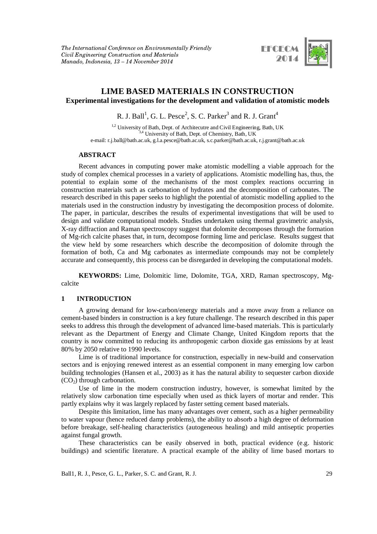

## **LIME BASED MATERIALS IN CONSTRUCTION Experimental investigations for the development and validation of atomistic models**

R. J. Ball<sup>1</sup>, G. L. Pesce<sup>2</sup>, S. C. Parker $^3$  and R. J. Grant $^4$ 

<sup>1,2</sup> University of Bath, Dept. of Architecutre and Civil Engineering, Bath, UK 3,4 University of Bath, Dept. of Chemistry, Bath, UK e-mail: r.j.ball@bath.ac.uk, g.l.a.pesce@bath.ac.uk, s.c.parker@bath.ac.uk, r.j.grant@bath.ac.uk

### **ABSTRACT**

Recent advances in computing power make atomistic modelling a viable approach for the study of complex chemical processes in a variety of applications. Atomistic modelling has, thus, the potential to explain some of the mechanisms of the most complex reactions occurring in construction materials such as carbonation of hydrates and the decomposition of carbonates. The research described in this paper seeks to highlight the potential of atomistic modelling applied to the materials used in the construction industry by investigating the decomposition process of dolomite. The paper, in particular, describes the results of experimental investigations that will be used to design and validate computational models. Studies undertaken using thermal gravimetric analysis, X-ray diffraction and Raman spectroscopy suggest that dolomite decomposes through the formation of Mg-rich calcite phases that, in turn, decompose forming lime and periclase. Results suggest that the view held by some researchers which describe the decomposition of dolomite through the formation of both, Ca and Mg carbonates as intermediate compounds may not be completely accurate and consequently, this process can be disregarded in developing the computational models.

**KEYWORDS:** Lime, Dolomitic lime, Dolomite, TGA, XRD, Raman spectroscopy, Mgcalcite

### **1 INTRODUCTION**

A growing demand for low-carbon/energy materials and a move away from a reliance on cement-based binders in construction is a key future challenge. The research described in this paper seeks to address this through the development of advanced lime-based materials. This is particularly relevant as the Department of Energy and Climate Change, United Kingdom reports that the country is now committed to reducing its anthropogenic carbon dioxide gas emissions by at least 80% by 2050 relative to 1990 levels.

Lime is of traditional importance for construction, especially in new-build and conservation sectors and is enjoying renewed interest as an essential component in many emerging low carbon building technologies (Hansen et al., 2003) as it has the natural ability to sequester carbon dioxide  $(CO<sub>2</sub>)$  through carbonation.

Use of lime in the modern construction industry, however, is somewhat limited by the relatively slow carbonation time especially when used as thick layers of mortar and render. This partly explains why it was largely replaced by faster setting cement based materials.

Despite this limitation, lime has many advantages over cement, such as a higher permeability to water vapour (hence reduced damp problems), the ability to absorb a high degree of deformation before breakage, self-healing characteristics (autogeneous healing) and mild antiseptic properties against fungal growth.

These characteristics can be easily observed in both, practical evidence (e.g. historic buildings) and scientific literature. A practical example of the ability of lime based mortars to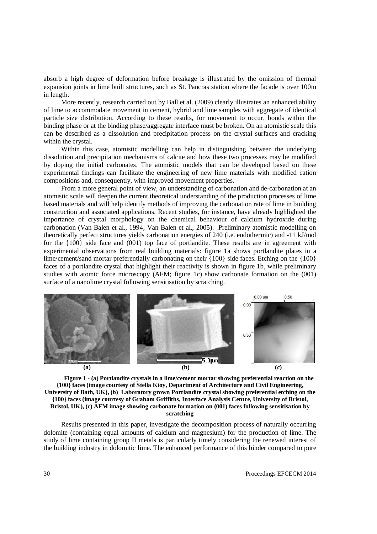absorb a high degree of deformation before breakage is illustrated by the omission of thermal expansion joints in lime built structures, such as St. Pancras station where the facade is over 100m in length.

More recently, research carried out by Ball et al. (2009) clearly illustrates an enhanced ability of lime to accommodate movement in cement, hybrid and lime samples with aggregate of identical particle size distribution. According to these results, for movement to occur, bonds within the binding phase or at the binding phase/aggregate interface must be broken. On an atomistic scale this can be described as a dissolution and precipitation process on the crystal surfaces and cracking within the crystal.

Within this case, atomistic modelling can help in distinguishing between the underlying dissolution and precipitation mechanisms of calcite and how these two processes may be modified by doping the initial carbonates. The atomistic models that can be developed based on these experimental findings can facilitate the engineering of new lime materials with modified cation compositions and, consequently, with improved movement properties.

From a more general point of view, an understanding of carbonation and de-carbonation at an atomistic scale will deepen the current theoretical understanding of the production processes of lime based materials and will help identify methods of improving the carbonation rate of lime in building construction and associated applications. Recent studies, for instance, have already highlighted the importance of crystal morphology on the chemical behaviour of calcium hydroxide during carbonation (Van Balen et al., 1994; Van Balen et al., 2005). Preliminary atomistic modelling on theoretically perfect structures yields carbonation energies of 240 (i.e. endothermic) and -11 kJ/mol for the {100} side face and (001) top face of portlandite. These results are in agreement with experimental observations from real building materials: figure 1a shows portlandite plates in a lime/cement/sand mortar preferentially carbonating on their {100} side faces. Etching on the {100} faces of a portlandite crystal that highlight their reactivity is shown in figure 1b, while preliminary studies with atomic force microscopy (AFM; figure 1c) show carbonate formation on the (001) surface of a nanolime crystal following sensitisation by scratching.



**Figure 1 - (a) Portlandite crystals in a lime/cement mortar showing preferential reaction on the {100} faces (image courtesy of Stella Kioy, Department of Architecture and Civil Engineering, University of Bath, UK), (b) Laboratory grown Portlandite crystal showing preferential etching on the {100} faces (image courtesy of Graham Griffiths, Interface Analysis Centre, University of Bristol, Bristol, UK), (c) AFM image showing carbonate formation on (001) faces following sensitisation by scratching**

Results presented in this paper, investigate the decomposition process of naturally occurring dolomite (containing equal amounts of calcium and magnesium) for the production of lime. The study of lime containing group II metals is particularly timely considering the renewed interest of the building industry in dolomitic lime. The enhanced performance of this binder compared to pure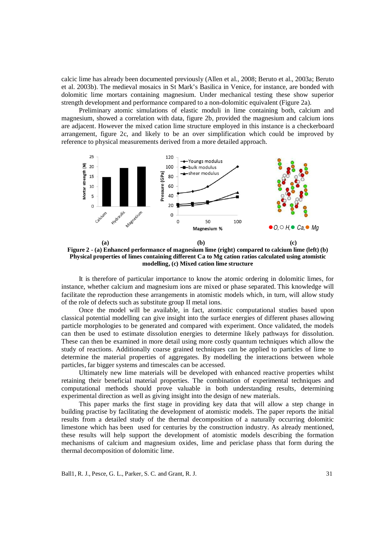calcic lime has already been documented previously (Allen et al., 2008; Beruto et al., 2003a; Beruto et al. 2003b). The medieval mosaics in St Mark's Basilica in Venice, for instance, are bonded with dolomitic lime mortars containing magnesium. Under mechanical testing these show superior strength development and performance compared to a non-dolomitic equivalent (Figure 2a).

Preliminary atomic simulations of elastic moduli in lime containing both, calcium and magnesium, showed a correlation with data, figure 2b, provided the magnesium and calcium ions are adjacent. However the mixed cation lime structure employed in this instance is a checkerboard arrangement, figure 2c, and likely to be an over simplification which could be improved by reference to physical measurements derived from a more detailed approach.



**Figure 2 - (a) Enhanced performance of magnesium lime (right) compared to calcium lime (left) (b) Physical properties of limes containing different Ca to Mg cation ratios calculated using atomistic modelling, (c) Mixed cation lime structure** 

It is therefore of particular importance to know the atomic ordering in dolomitic limes, for instance, whether calcium and magnesium ions are mixed or phase separated. This knowledge will facilitate the reproduction these arrangements in atomistic models which, in turn, will allow study of the role of defects such as substitute group II metal ions.

Once the model will be available, in fact, atomistic computational studies based upon classical potential modelling can give insight into the surface energies of different phases allowing particle morphologies to be generated and compared with experiment. Once validated, the models can then be used to estimate dissolution energies to determine likely pathways for dissolution. These can then be examined in more detail using more costly quantum techniques which allow the study of reactions. Additionally coarse grained techniques can be applied to particles of lime to determine the material properties of aggregates. By modelling the interactions between whole particles, far bigger systems and timescales can be accessed.

Ultimately new lime materials will be developed with enhanced reactive properties whilst retaining their beneficial material properties. The combination of experimental techniques and computational methods should prove valuable in both understanding results, determining experimental direction as well as giving insight into the design of new materials.

This paper marks the first stage in providing key data that will allow a step change in building practise by facilitating the development of atomistic models. The paper reports the initial results from a detailed study of the thermal decomposition of a naturally occurring dolomitic limestone which has been used for centuries by the construction industry. As already mentioned, these results will help support the development of atomistic models describing the formation mechanisms of calcium and magnesium oxides, lime and periclase phass that form during the thermal decomposition of dolomitic lime.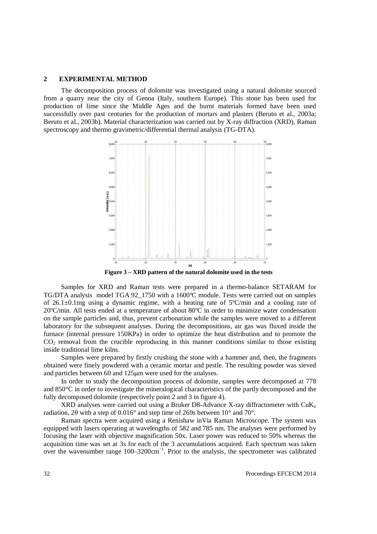#### **2 EXPERIMENTAL METHOD**

The decomposition process of dolomite was investigated using a natural dolomite sourced from a quarry near the city of Genoa (Italy, southern Europe). This stone has been used for production of lime since the Middle Ages and the burnt materials formed have been used successfully over past centuries for the production of mortars and plasters (Beruto et al., 2003a; Beruto et al., 2003b). Material characterization was carried out by X-ray diffraction (XRD), Raman spectroscopy and thermo gravimetric/differential thermal analysis (TG-DTA).



**Figure 3 – XRD pattern of the natural dolomite used in the tests** 

Samples for XRD and Raman tests were prepared in a thermo-balance SETARAM for TG/DTA analysis model TGA 92\_1750 with a 1600ºC module. Tests were carried out on samples of 26.1±0.1mg using a dynamic regime, with a heating rate of 5ºC/min and a cooling rate of 20ºC/min. All tests ended at a temperature of about 80ºC in order to minimize water condensation on the sample particles and, thus, prevent carbonation while the samples were moved to a different laboratory for the subsequent analyses. During the decompositions, air gas was fluxed inside the furnace (internal pressure 150KPa) in order to optimize the heat distribution and to promote the  $CO<sub>2</sub>$  removal from the crucible reproducing in this manner conditions similar to those existing inside traditional lime kilns.

Samples were prepared by firstly crushing the stone with a hammer and, then, the fragments obtained were finely powdered with a ceramic mortar and pestle. The resulting powder was sieved and particles between 60 and 125 $\mu$ m were used for the analyses.

In order to study the decomposition process of dolomite, samples were decomposed at 778 and 850°C in order to investigate the mineralogical characteristics of the partly decomposed and the fully decomposed dolomite (respectively point 2 and 3 in figure 4).

XRD analyses were carried out using a Bruker D8-Advance X-ray diffractometer with  $CuK_a$ radiation, 2 $\theta$  with a step of 0.016° and step time of 269s between 10° and 70°.

Raman spectra were acquired using a Renishaw inVia Raman Microscope. The system was equipped with lasers operating at wavelengths of 582 and 785 nm. The analyses were performed by focusing the laser with objective magnification 50x. Laser power was reduced to 50% whereas the acquisition time was set at 3s for each of the 3 accumulations acquired. Each spectrum was taken over the wavenumber range 100–3200cm−1. Prior to the analysis, the spectrometer was calibrated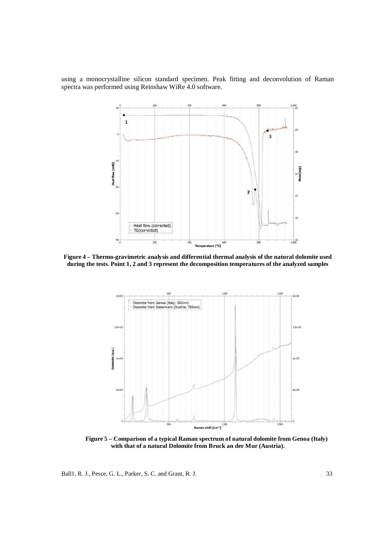using a monocrystalline silicon standard specimen. Peak fitting and deconvolution of Raman spectra was performed using Reinshaw WiRe 4.0 software.



**Figure 4 – Thermo-gravimetric analysis and differential thermal analysis of the natural dolomite used during the tests. Point 1, 2 and 3 represent the decomposition temperatures of the analyzed samples** 



**Figure 5 – Comparison of a typical Raman spectrum of natural dolomite from Genoa (Italy) with that of a natural Dolomite from Bruck an der Mur (Austria).** 

Ball1, R. J., Pesce, G. L., Parker, S. C. and Grant, R. J. 33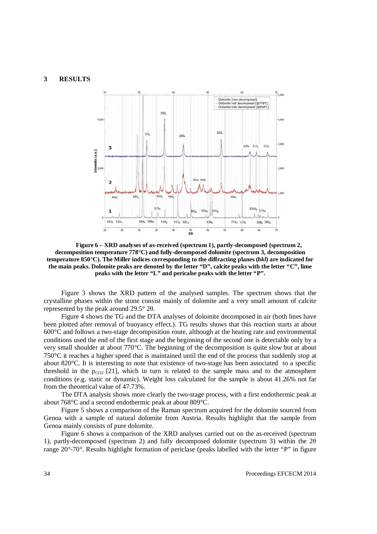#### **3 RESULTS**



**Figure 6 – XRD analyses of as-received (spectrum 1), partly-decomposed (spectrum 2, decomposition temperature 778°C) and fully-decomposed dolomite (spectrum 3, decomposition temperature 850°C). The Miller indices corresponding to the diffracting planes (***hkl***) are indicated for the main peaks. Dolomite peaks are denoted by the letter "D", calcite peaks with the letter "C", lime peaks with the letter "L" and pericalse peaks with the letter "P".** 

Figure 3 shows the XRD pattern of the analysed samples. The spectrum shows that the crystalline phases within the stone consist mainly of dolomite and a very small amount of calcite represented by the peak around  $29.5^{\circ}$  2 $\theta$ .

Figure 4 shows the TG and the DTA analyses of dolomite decomposed in air (both lines have been plotted after removal of buoyancy effect.). TG results shows that this reaction starts at about 600°C and follows a two-stage decomposition route, although at the heating rate and environmental conditions used the end of the first stage and the beginning of the second one is detectable only by a very small shoulder at about 770°C. The beginning of the decomposition is quite slow but at about 750°C it reaches a higher speed that is maintained until the end of the process that suddenly stop at about 820°C. It is interesting to note that existence of two-stage has been associated to a specific threshold in the  $p_{CO2}$  [21], which in turn is related to the sample mass and to the atmosphere conditions (e.g. static or dynamic). Weight loss calculated for the sample is about 41.26% not far from the theoretical value of 47.73%.

The DTA analysis shows more clearly the two-stage process, with a first endothermic peak at about 768°C and a second endothermic peak at about 809°C.

Figure 5 shows a comparison of the Raman spectrum acquired for the dolomite sourced from Genoa with a sample of natural dolomite from Austria. Results highlight that the sample from Genoa mainly consists of pure dolomite.

Figure 6 shows a comparison of the XRD analyses carried out on the as-received (spectrum 1), partly-decomposed (spectrum 2) and fully decomposed dolomite (spectrum 3) within the 2q range 20°-70°. Results highlight formation of periclase (peaks labelled with the letter "P" in figure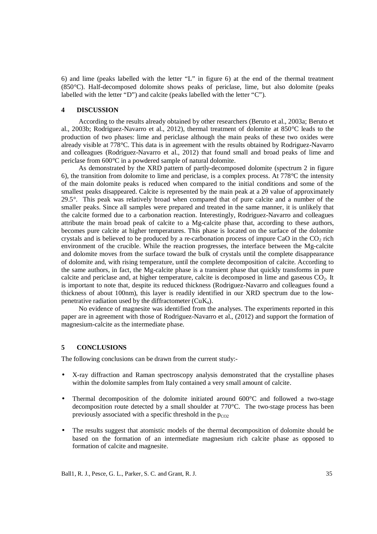6) and lime (peaks labelled with the letter "L" in figure 6) at the end of the thermal treatment (850°C). Half-decomposed dolomite shows peaks of periclase, lime, but also dolomite (peaks labelled with the letter "D") and calcite (peaks labelled with the letter "C").

#### **4 DISCUSSION**

According to the results already obtained by other researchers (Beruto et al., 2003a; Beruto et al., 2003b; Rodriguez-Navarro et al., 2012), thermal treatment of dolomite at 850°C leads to the production of two phases: lime and periclase although the main peaks of these two oxides were already visible at 778°C. This data is in agreement with the results obtained by Rodriguez-Navarro and colleagues (Rodriguez-Navarro et al., 2012) that found small and broad peaks of lime and periclase from 600°C in a powdered sample of natural dolomite.

As demonstrated by the XRD pattern of partly-decomposed dolomite (spectrum 2 in figure 6), the transition from dolomite to lime and periclase, is a complex process. At 778°C the intensity of the main dolomite peaks is reduced when compared to the initial conditions and some of the smallest peaks disappeared. Calcite is represented by the main peak at a  $2\theta$  value of approximately 29.5°. This peak was relatively broad when compared that of pure calcite and a number of the smaller peaks. Since all samples were prepared and treated in the same manner, it is unlikely that the calcite formed due to a carbonation reaction. Interestingly, Rodriguez-Navarro and colleagues attribute the main broad peak of calcite to a Mg-calcite phase that, according to these authors, becomes pure calcite at higher temperatures. This phase is located on the surface of the dolomite crystals and is believed to be produced by a re-carbonation process of impure CaO in the  $CO<sub>2</sub>$  rich environment of the crucible. While the reaction progresses, the interface between the Mg-calcite and dolomite moves from the surface toward the bulk of crystals until the complete disappearance of dolomite and, with rising temperature, until the complete decomposition of calcite. According to the same authors, in fact, the Mg-calcite phase is a transient phase that quickly transforms in pure calcite and periclase and, at higher temperature, calcite is decomposed in lime and gaseous  $CO<sub>2</sub>$ . It is important to note that, despite its reduced thickness (Rodriguez-Navarro and colleagues found a thickness of about 100nm), this layer is readily identified in our XRD spectrum due to the lowpenetrative radiation used by the diffractometer  $(CuK_a)$ .

No evidence of magnesite was identified from the analyses. The experiments reported in this paper are in agreement with those of Rodriguez-Navarro et al., (2012) and support the formation of magnesium-calcite as the intermediate phase.

#### **5 CONCLUSIONS**

The following conclusions can be drawn from the current study:-

- X-ray diffraction and Raman spectroscopy analysis demonstrated that the crystalline phases within the dolomite samples from Italy contained a very small amount of calcite.
- Thermal decomposition of the dolomite initiated around 600°C and followed a two-stage decomposition route detected by a small shoulder at 770°C. The two-stage process has been previously associated with a specific threshold in the  $p_{CO2}$
- The results suggest that atomistic models of the thermal decomposition of dolomite should be based on the formation of an intermediate magnesium rich calcite phase as opposed to formation of calcite and magnesite.